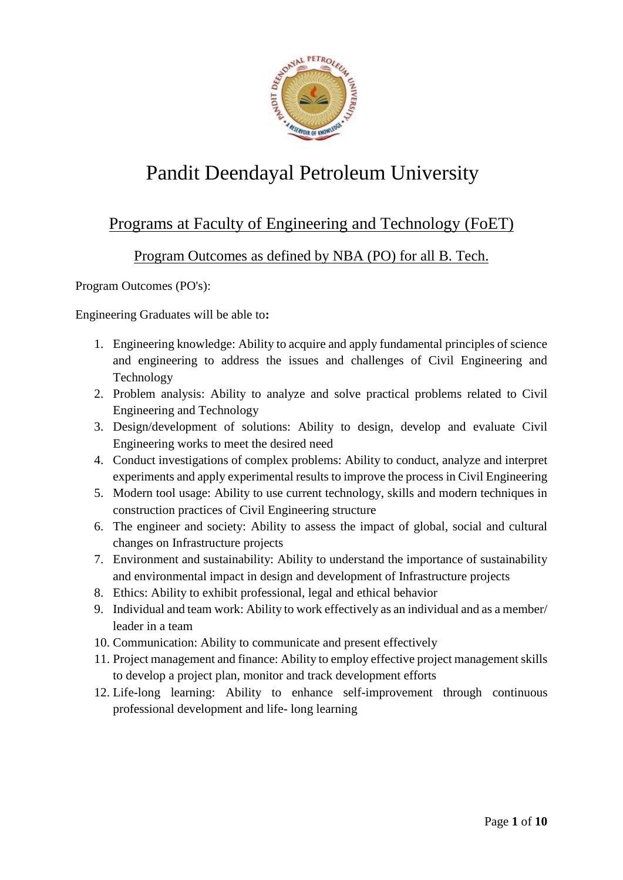

# Pandit Deendayal Petroleum University

### Programs at Faculty of Engineering and Technology (FoET)

#### Program Outcomes as defined by NBA (PO) for all B. Tech.

Program Outcomes (PO's):

Engineering Graduates will be able to**:**

- 1. Engineering knowledge: Ability to acquire and apply fundamental principles of science and engineering to address the issues and challenges of Civil Engineering and Technology
- 2. Problem analysis: Ability to analyze and solve practical problems related to Civil Engineering and Technology
- 3. Design/development of solutions: Ability to design, develop and evaluate Civil Engineering works to meet the desired need
- 4. Conduct investigations of complex problems: Ability to conduct, analyze and interpret experiments and apply experimental results to improve the process in Civil Engineering
- 5. Modern tool usage: Ability to use current technology, skills and modern techniques in construction practices of Civil Engineering structure
- 6. The engineer and society: Ability to assess the impact of global, social and cultural changes on Infrastructure projects
- 7. Environment and sustainability: Ability to understand the importance of sustainability and environmental impact in design and development of Infrastructure projects
- 8. Ethics: Ability to exhibit professional, legal and ethical behavior
- 9. Individual and team work: Ability to work effectively as an individual and as a member/ leader in a team
- 10. Communication: Ability to communicate and present effectively
- 11. Project management and finance: Ability to employ effective project management skills to develop a project plan, monitor and track development efforts
- 12. Life-long learning: Ability to enhance self-improvement through continuous professional development and life- long learning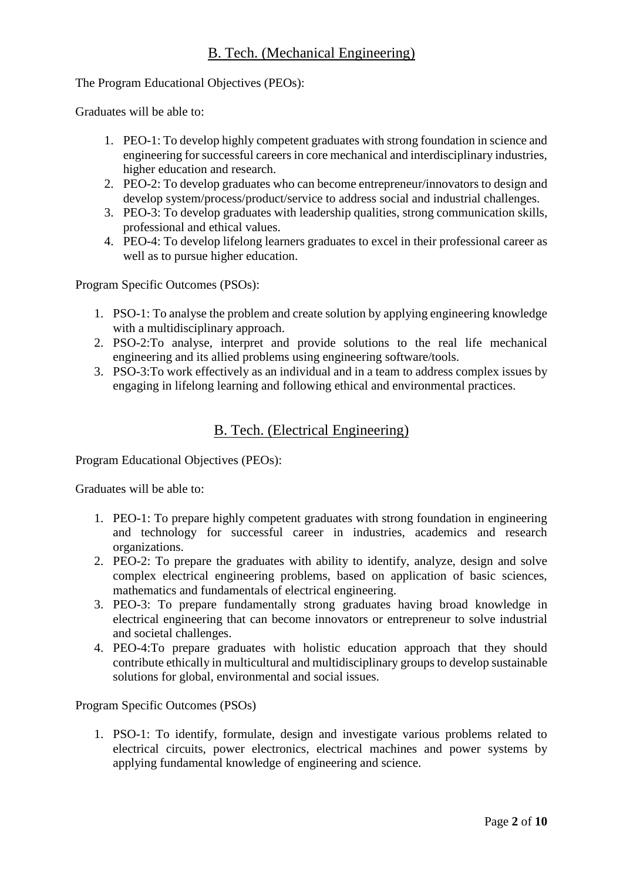The Program Educational Objectives (PEOs):

Graduates will be able to:

- 1. PEO-1: To develop highly competent graduates with strong foundation in science and engineering for successful careers in core mechanical and interdisciplinary industries, higher education and research.
- 2. PEO-2: To develop graduates who can become entrepreneur/innovators to design and develop system/process/product/service to address social and industrial challenges.
- 3. PEO-3: To develop graduates with leadership qualities, strong communication skills, professional and ethical values.
- 4. PEO-4: To develop lifelong learners graduates to excel in their professional career as well as to pursue higher education.

Program Specific Outcomes (PSOs):

- 1. PSO-1: To analyse the problem and create solution by applying engineering knowledge with a multidisciplinary approach.
- 2. PSO-2:To analyse, interpret and provide solutions to the real life mechanical engineering and its allied problems using engineering software/tools.
- 3. PSO-3:To work effectively as an individual and in a team to address complex issues by engaging in lifelong learning and following ethical and environmental practices.

#### B. Tech. (Electrical Engineering)

Program Educational Objectives (PEOs):

Graduates will be able to:

- 1. PEO-1: To prepare highly competent graduates with strong foundation in engineering and technology for successful career in industries, academics and research organizations.
- 2. PEO-2: To prepare the graduates with ability to identify, analyze, design and solve complex electrical engineering problems, based on application of basic sciences, mathematics and fundamentals of electrical engineering.
- 3. PEO-3: To prepare fundamentally strong graduates having broad knowledge in electrical engineering that can become innovators or entrepreneur to solve industrial and societal challenges.
- 4. PEO-4:To prepare graduates with holistic education approach that they should contribute ethically in multicultural and multidisciplinary groups to develop sustainable solutions for global, environmental and social issues.

Program Specific Outcomes (PSOs)

1. PSO-1: To identify, formulate, design and investigate various problems related to electrical circuits, power electronics, electrical machines and power systems by applying fundamental knowledge of engineering and science.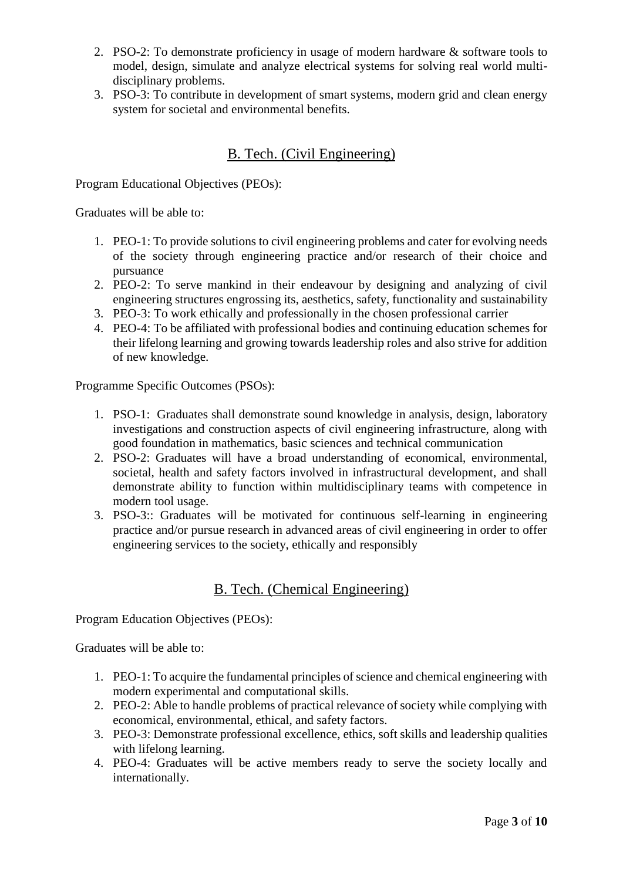- 2. PSO-2: To demonstrate proficiency in usage of modern hardware & software tools to model, design, simulate and analyze electrical systems for solving real world multidisciplinary problems.
- 3. PSO-3: To contribute in development of smart systems, modern grid and clean energy system for societal and environmental benefits.

### B. Tech. (Civil Engineering)

Program Educational Objectives (PEOs):

Graduates will be able to:

- 1. PEO-1: To provide solutions to civil engineering problems and cater for evolving needs of the society through engineering practice and/or research of their choice and pursuance
- 2. PEO-2: To serve mankind in their endeavour by designing and analyzing of civil engineering structures engrossing its, aesthetics, safety, functionality and sustainability
- 3. PEO-3: To work ethically and professionally in the chosen professional carrier
- 4. PEO-4: To be affiliated with professional bodies and continuing education schemes for their lifelong learning and growing towards leadership roles and also strive for addition of new knowledge.

Programme Specific Outcomes (PSOs):

- 1. PSO-1: Graduates shall demonstrate sound knowledge in analysis, design, laboratory investigations and construction aspects of civil engineering infrastructure, along with good foundation in mathematics, basic sciences and technical communication
- 2. PSO-2: Graduates will have a broad understanding of economical, environmental, societal, health and safety factors involved in infrastructural development, and shall demonstrate ability to function within multidisciplinary teams with competence in modern tool usage.
- 3. PSO-3:: Graduates will be motivated for continuous self-learning in engineering practice and/or pursue research in advanced areas of civil engineering in order to offer engineering services to the society, ethically and responsibly

#### B. Tech. (Chemical Engineering)

Program Education Objectives (PEOs):

Graduates will be able to:

- 1. PEO-1: To acquire the fundamental principles of science and chemical engineering with modern experimental and computational skills.
- 2. PEO-2: Able to handle problems of practical relevance of society while complying with economical, environmental, ethical, and safety factors.
- 3. PEO-3: Demonstrate professional excellence, ethics, soft skills and leadership qualities with lifelong learning.
- 4. PEO-4: Graduates will be active members ready to serve the society locally and internationally.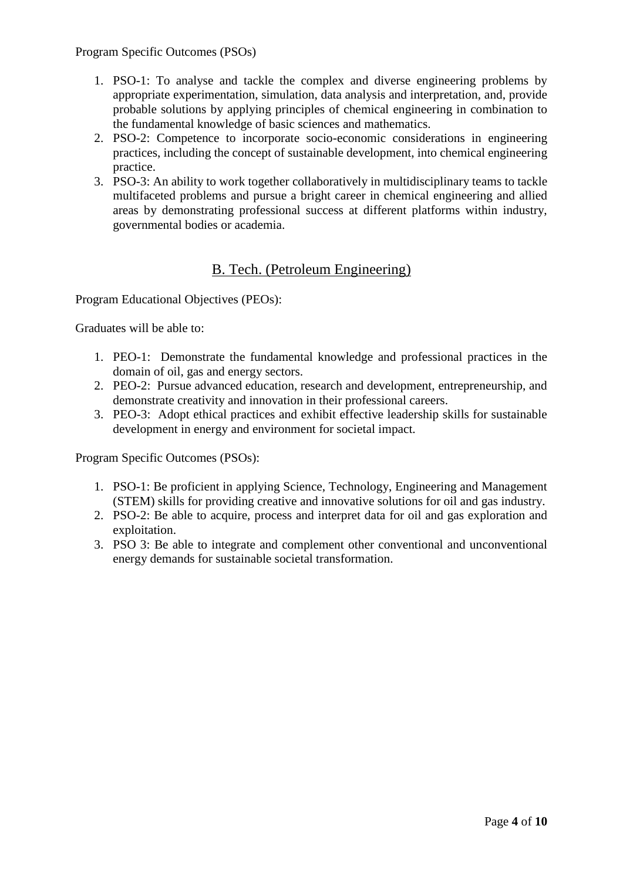Program Specific Outcomes (PSOs)

- 1. PSO-1: To analyse and tackle the complex and diverse engineering problems by appropriate experimentation, simulation, data analysis and interpretation, and, provide probable solutions by applying principles of chemical engineering in combination to the fundamental knowledge of basic sciences and mathematics.
- 2. PSO-2: Competence to incorporate socio-economic considerations in engineering practices, including the concept of sustainable development, into chemical engineering practice.
- 3. PSO-3: An ability to work together collaboratively in multidisciplinary teams to tackle multifaceted problems and pursue a bright career in chemical engineering and allied areas by demonstrating professional success at different platforms within industry, governmental bodies or academia.

### B. Tech. (Petroleum Engineering)

Program Educational Objectives (PEOs):

Graduates will be able to:

- 1. PEO-1: Demonstrate the fundamental knowledge and professional practices in the domain of oil, gas and energy sectors.
- 2. PEO-2: Pursue advanced education, research and development, entrepreneurship, and demonstrate creativity and innovation in their professional careers.
- 3. PEO-3: Adopt ethical practices and exhibit effective leadership skills for sustainable development in energy and environment for societal impact.

Program Specific Outcomes (PSOs):

- 1. PSO-1: Be proficient in applying Science, Technology, Engineering and Management (STEM) skills for providing creative and innovative solutions for oil and gas industry.
- 2. PSO-2: Be able to acquire, process and interpret data for oil and gas exploration and exploitation.
- 3. PSO 3: Be able to integrate and complement other conventional and unconventional energy demands for sustainable societal transformation.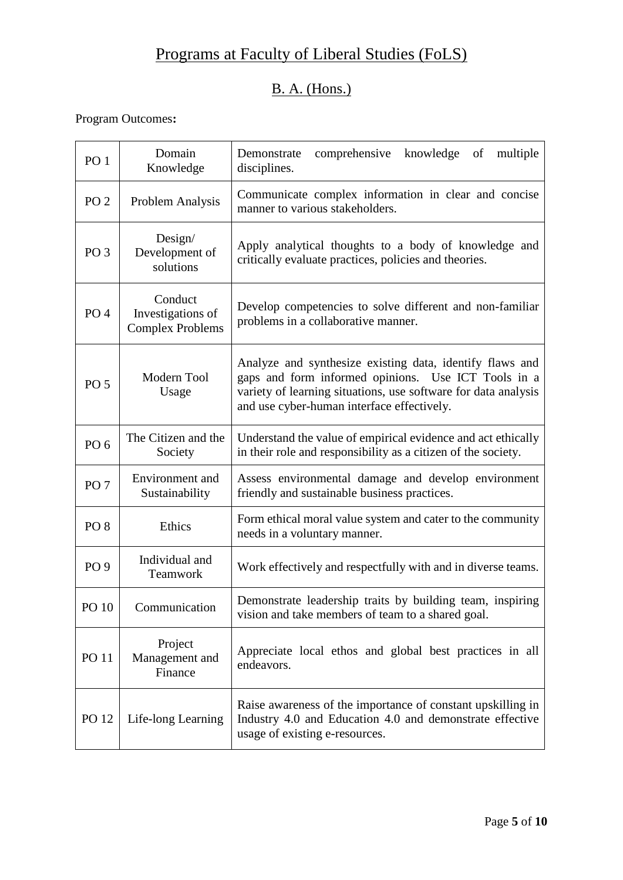# Programs at Faculty of Liberal Studies (FoLS)

# B. A. (Hons.)

| PO <sub>1</sub> | Domain<br>Knowledge                                     | comprehensive<br>knowledge<br>Demonstrate<br>of<br>multiple<br>disciplines.                                                                                                                                                     |
|-----------------|---------------------------------------------------------|---------------------------------------------------------------------------------------------------------------------------------------------------------------------------------------------------------------------------------|
| PO <sub>2</sub> | Problem Analysis                                        | Communicate complex information in clear and concise<br>manner to various stakeholders.                                                                                                                                         |
| PO <sub>3</sub> | Design/<br>Development of<br>solutions                  | Apply analytical thoughts to a body of knowledge and<br>critically evaluate practices, policies and theories.                                                                                                                   |
| PO <sub>4</sub> | Conduct<br>Investigations of<br><b>Complex Problems</b> | Develop competencies to solve different and non-familiar<br>problems in a collaborative manner.                                                                                                                                 |
| PO <sub>5</sub> | Modern Tool<br>Usage                                    | Analyze and synthesize existing data, identify flaws and<br>gaps and form informed opinions. Use ICT Tools in a<br>variety of learning situations, use software for data analysis<br>and use cyber-human interface effectively. |
| PO <sub>6</sub> | The Citizen and the<br>Society                          | Understand the value of empirical evidence and act ethically<br>in their role and responsibility as a citizen of the society.                                                                                                   |
| PO <sub>7</sub> | Environment and<br>Sustainability                       | Assess environmental damage and develop environment<br>friendly and sustainable business practices.                                                                                                                             |
| PO <sub>8</sub> | Ethics                                                  | Form ethical moral value system and cater to the community<br>needs in a voluntary manner.                                                                                                                                      |
| PO <sub>9</sub> | Individual and<br>Teamwork                              | Work effectively and respectfully with and in diverse teams.                                                                                                                                                                    |
| PO 10           | Communication                                           | Demonstrate leadership traits by building team, inspiring<br>vision and take members of team to a shared goal.                                                                                                                  |
| <b>PO 11</b>    | Project<br>Management and<br>Finance                    | Appreciate local ethos and global best practices in all<br>endeavors.                                                                                                                                                           |
| PO 12           | Life-long Learning                                      | Raise awareness of the importance of constant upskilling in<br>Industry 4.0 and Education 4.0 and demonstrate effective<br>usage of existing e-resources.                                                                       |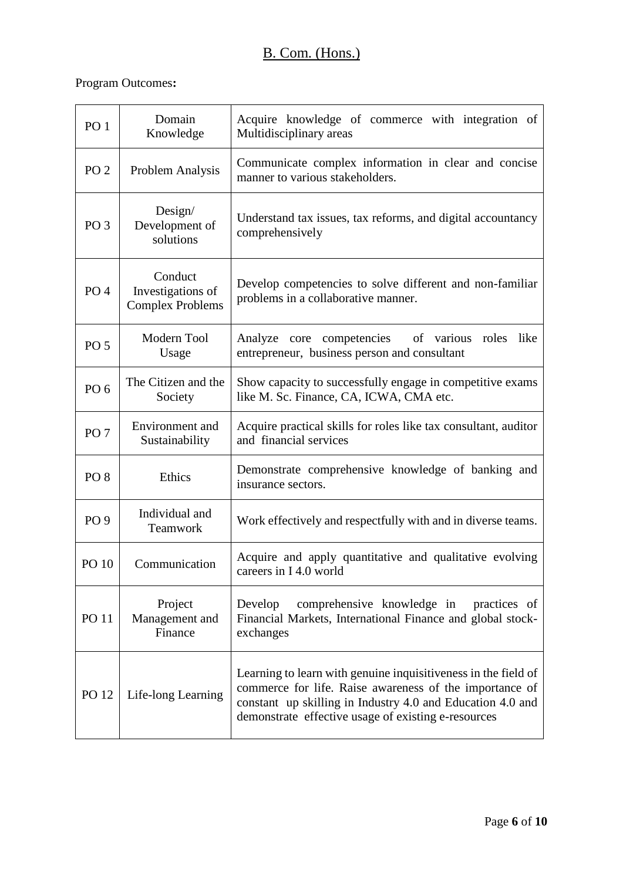# B. Com. (Hons.)

| PO <sub>1</sub> | Domain<br>Knowledge                                     | Acquire knowledge of commerce with integration of<br>Multidisciplinary areas                                                                                                                                                                   |
|-----------------|---------------------------------------------------------|------------------------------------------------------------------------------------------------------------------------------------------------------------------------------------------------------------------------------------------------|
| PO <sub>2</sub> | Problem Analysis                                        | Communicate complex information in clear and concise<br>manner to various stakeholders.                                                                                                                                                        |
| PO <sub>3</sub> | Design/<br>Development of<br>solutions                  | Understand tax issues, tax reforms, and digital accountancy<br>comprehensively                                                                                                                                                                 |
| PO <sub>4</sub> | Conduct<br>Investigations of<br><b>Complex Problems</b> | Develop competencies to solve different and non-familiar<br>problems in a collaborative manner.                                                                                                                                                |
| PO <sub>5</sub> | Modern Tool<br>Usage                                    | of various roles<br>Analyze core competencies<br>like<br>entrepreneur, business person and consultant                                                                                                                                          |
| PO <sub>6</sub> | The Citizen and the<br>Society                          | Show capacity to successfully engage in competitive exams<br>like M. Sc. Finance, CA, ICWA, CMA etc.                                                                                                                                           |
| PO <sub>7</sub> | Environment and<br>Sustainability                       | Acquire practical skills for roles like tax consultant, auditor<br>and financial services                                                                                                                                                      |
| PO <sub>8</sub> | Ethics                                                  | Demonstrate comprehensive knowledge of banking and<br>insurance sectors.                                                                                                                                                                       |
| PO <sub>9</sub> | Individual and<br>Teamwork                              | Work effectively and respectfully with and in diverse teams.                                                                                                                                                                                   |
| PO 10           | Communication                                           | Acquire and apply quantitative and qualitative evolving<br>careers in I 4.0 world                                                                                                                                                              |
| <b>PO</b> 11    | Project<br>Management and<br>Finance                    | comprehensive knowledge in practices of<br>Develop<br>Financial Markets, International Finance and global stock-<br>exchanges                                                                                                                  |
| PO 12           | Life-long Learning                                      | Learning to learn with genuine inquisitiveness in the field of<br>commerce for life. Raise awareness of the importance of<br>constant up skilling in Industry 4.0 and Education 4.0 and<br>demonstrate effective usage of existing e-resources |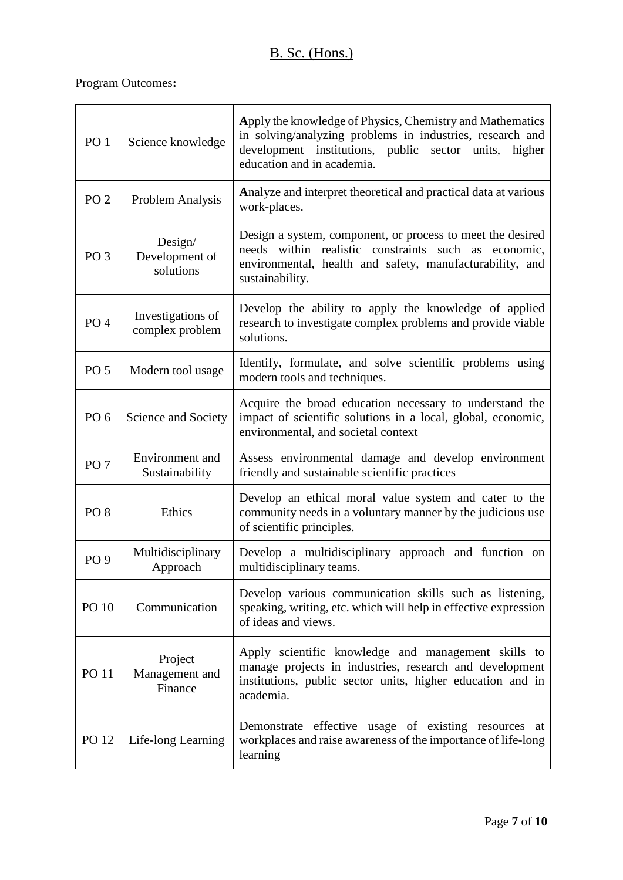# B. Sc. (Hons.)

| PO <sub>1</sub> | Science knowledge                      | Apply the knowledge of Physics, Chemistry and Mathematics<br>in solving/analyzing problems in industries, research and<br>development institutions, public sector units, higher<br>education and in academia. |
|-----------------|----------------------------------------|---------------------------------------------------------------------------------------------------------------------------------------------------------------------------------------------------------------|
| PO <sub>2</sub> | Problem Analysis                       | Analyze and interpret theoretical and practical data at various<br>work-places.                                                                                                                               |
| PO <sub>3</sub> | Design/<br>Development of<br>solutions | Design a system, component, or process to meet the desired<br>needs within realistic constraints such as economic,<br>environmental, health and safety, manufacturability, and<br>sustainability.             |
| PO <sub>4</sub> | Investigations of<br>complex problem   | Develop the ability to apply the knowledge of applied<br>research to investigate complex problems and provide viable<br>solutions.                                                                            |
| PO <sub>5</sub> | Modern tool usage                      | Identify, formulate, and solve scientific problems using<br>modern tools and techniques.                                                                                                                      |
| PO <sub>6</sub> | Science and Society                    | Acquire the broad education necessary to understand the<br>impact of scientific solutions in a local, global, economic,<br>environmental, and societal context                                                |
| PO <sub>7</sub> | Environment and<br>Sustainability      | Assess environmental damage and develop environment<br>friendly and sustainable scientific practices                                                                                                          |
| PO <sub>8</sub> | Ethics                                 | Develop an ethical moral value system and cater to the<br>community needs in a voluntary manner by the judicious use<br>of scientific principles.                                                             |
| PO <sub>9</sub> | Multidisciplinary<br>Approach          | Develop a multidisciplinary approach and function on<br>multidisciplinary teams.                                                                                                                              |
| <b>PO 10</b>    | Communication                          | Develop various communication skills such as listening,<br>speaking, writing, etc. which will help in effective expression<br>of ideas and views.                                                             |
| <b>PO 11</b>    | Project<br>Management and<br>Finance   | Apply scientific knowledge and management skills to<br>manage projects in industries, research and development<br>institutions, public sector units, higher education and in<br>academia.                     |
| PO 12           | Life-long Learning                     | Demonstrate effective usage of existing resources<br>at<br>workplaces and raise awareness of the importance of life-long<br>learning                                                                          |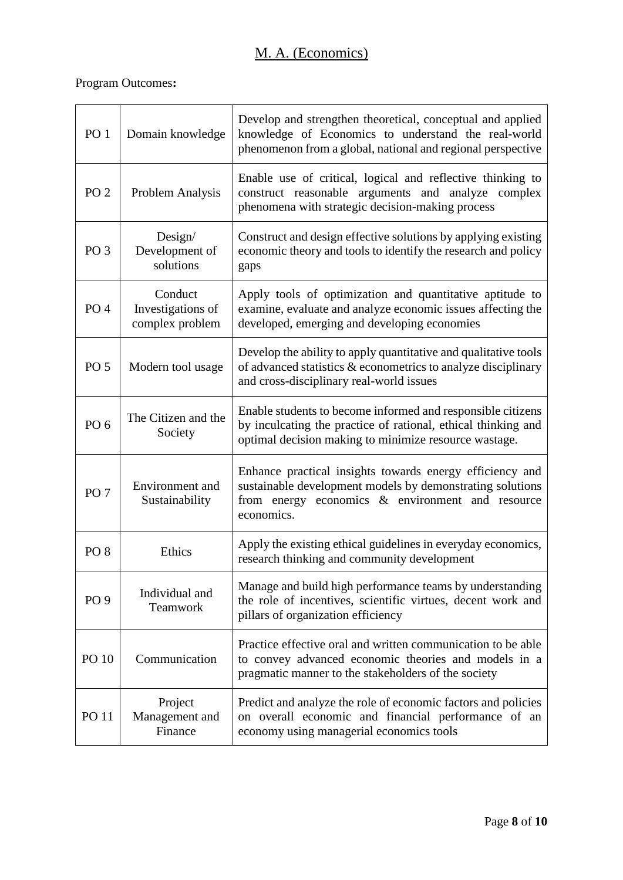| PO <sub>1</sub> | Domain knowledge                                | Develop and strengthen theoretical, conceptual and applied<br>knowledge of Economics to understand the real-world<br>phenomenon from a global, national and regional perspective        |
|-----------------|-------------------------------------------------|-----------------------------------------------------------------------------------------------------------------------------------------------------------------------------------------|
| PO <sub>2</sub> | <b>Problem Analysis</b>                         | Enable use of critical, logical and reflective thinking to<br>construct reasonable arguments and analyze complex<br>phenomena with strategic decision-making process                    |
| PO <sub>3</sub> | Design/<br>Development of<br>solutions          | Construct and design effective solutions by applying existing<br>economic theory and tools to identify the research and policy<br>gaps                                                  |
| PO <sub>4</sub> | Conduct<br>Investigations of<br>complex problem | Apply tools of optimization and quantitative aptitude to<br>examine, evaluate and analyze economic issues affecting the<br>developed, emerging and developing economies                 |
| <b>PO 5</b>     | Modern tool usage                               | Develop the ability to apply quantitative and qualitative tools<br>of advanced statistics & econometrics to analyze disciplinary<br>and cross-disciplinary real-world issues            |
| PO <sub>6</sub> | The Citizen and the<br>Society                  | Enable students to become informed and responsible citizens<br>by inculcating the practice of rational, ethical thinking and<br>optimal decision making to minimize resource wastage.   |
| PO <sub>7</sub> | Environment and<br>Sustainability               | Enhance practical insights towards energy efficiency and<br>sustainable development models by demonstrating solutions<br>from energy economics & environment and resource<br>economics. |
| PO <sub>8</sub> | Ethics                                          | Apply the existing ethical guidelines in everyday economics,<br>research thinking and community development                                                                             |
| PO <sub>9</sub> | Individual and<br><b>Teamwork</b>               | Manage and build high performance teams by understanding<br>the role of incentives, scientific virtues, decent work and<br>pillars of organization efficiency                           |
| PO 10           | Communication                                   | Practice effective oral and written communication to be able<br>to convey advanced economic theories and models in a<br>pragmatic manner to the stakeholders of the society             |
| <b>PO 11</b>    | Project<br>Management and<br>Finance            | Predict and analyze the role of economic factors and policies<br>on overall economic and financial performance of an<br>economy using managerial economics tools                        |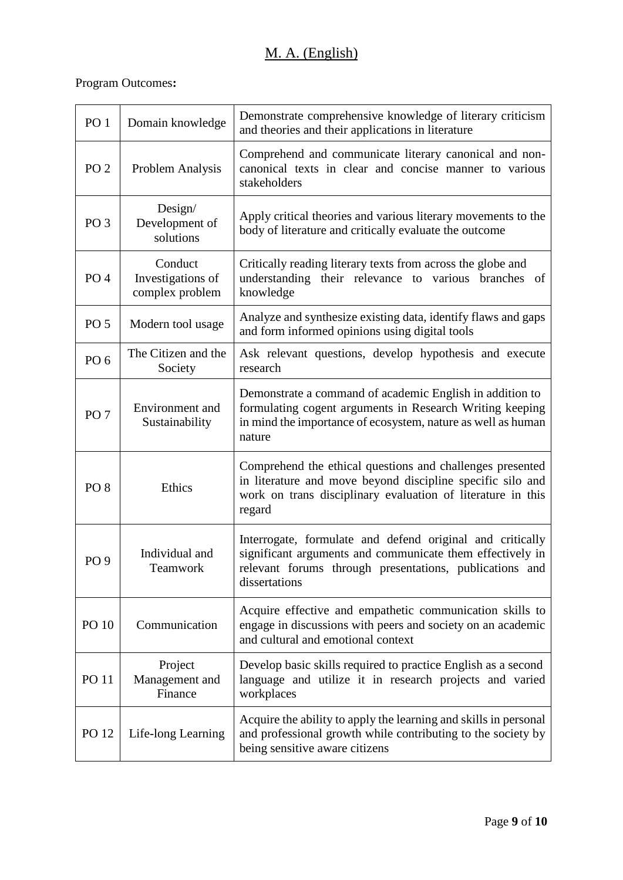# M. A. (English)

| PO <sub>1</sub> | Domain knowledge                                | Demonstrate comprehensive knowledge of literary criticism<br>and theories and their applications in literature                                                                                     |
|-----------------|-------------------------------------------------|----------------------------------------------------------------------------------------------------------------------------------------------------------------------------------------------------|
| PO <sub>2</sub> | Problem Analysis                                | Comprehend and communicate literary canonical and non-<br>canonical texts in clear and concise manner to various<br>stakeholders                                                                   |
| PO <sub>3</sub> | Design/<br>Development of<br>solutions          | Apply critical theories and various literary movements to the<br>body of literature and critically evaluate the outcome                                                                            |
| PO <sub>4</sub> | Conduct<br>Investigations of<br>complex problem | Critically reading literary texts from across the globe and<br>understanding their relevance to various branches of<br>knowledge                                                                   |
| PO <sub>5</sub> | Modern tool usage                               | Analyze and synthesize existing data, identify flaws and gaps<br>and form informed opinions using digital tools                                                                                    |
| PO <sub>6</sub> | The Citizen and the<br>Society                  | Ask relevant questions, develop hypothesis and execute<br>research                                                                                                                                 |
| PO <sub>7</sub> | Environment and<br>Sustainability               | Demonstrate a command of academic English in addition to<br>formulating cogent arguments in Research Writing keeping<br>in mind the importance of ecosystem, nature as well as human<br>nature     |
| PO <sub>8</sub> | Ethics                                          | Comprehend the ethical questions and challenges presented<br>in literature and move beyond discipline specific silo and<br>work on trans disciplinary evaluation of literature in this<br>regard   |
| PO <sub>9</sub> | Individual and<br>Teamwork                      | Interrogate, formulate and defend original and critically<br>significant arguments and communicate them effectively in<br>relevant forums through presentations, publications and<br>dissertations |
| PO 10           | Communication                                   | Acquire effective and empathetic communication skills to<br>engage in discussions with peers and society on an academic<br>and cultural and emotional context                                      |
| <b>PO 11</b>    | Project<br>Management and<br>Finance            | Develop basic skills required to practice English as a second<br>language and utilize it in research projects and varied<br>workplaces                                                             |
| PO 12           | Life-long Learning                              | Acquire the ability to apply the learning and skills in personal<br>and professional growth while contributing to the society by<br>being sensitive aware citizens                                 |